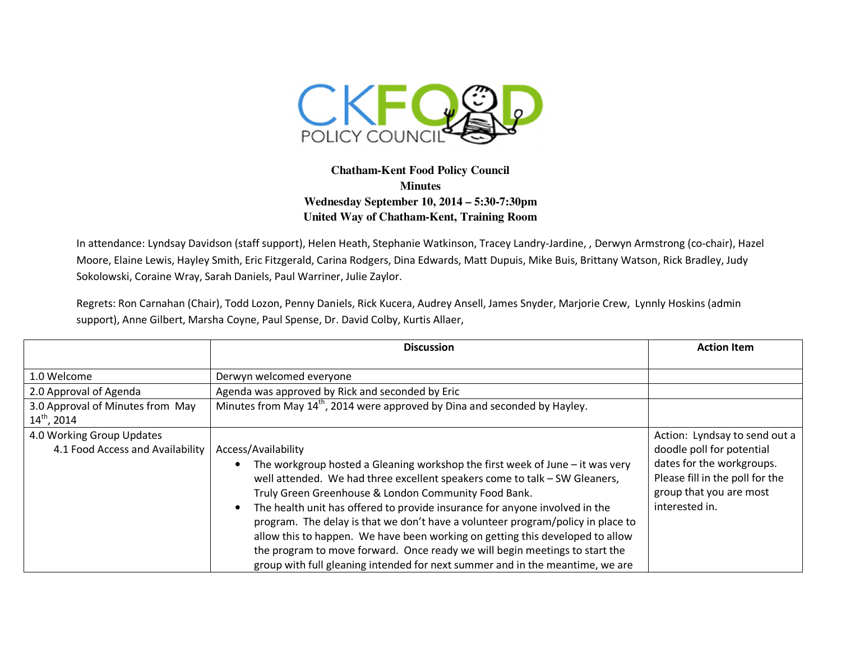

## **Chatham-Kent Food Policy Council Minutes Wednesday September 10, 2014 – 5:30-7:30pm United Way of Chatham-Kent, Training Room**

In attendance: Lyndsay Davidson (staff support), Helen Heath, Stephanie Watkinson, Tracey Landry-Jardine, , Derwyn Armstrong (co-chair), Hazel Moore, Elaine Lewis, Hayley Smith, Eric Fitzgerald, Carina Rodgers, Dina Edwards, Matt Dupuis, Mike Buis, Brittany Watson, Rick Bradley, Judy Sokolowski, Coraine Wray, Sarah Daniels, Paul Warriner, Julie Zaylor.

Regrets: Ron Carnahan (Chair), Todd Lozon, Penny Daniels, Rick Kucera, Audrey Ansell, James Snyder, Marjorie Crew, Lynnly Hoskins (admin support), Anne Gilbert, Marsha Coyne, Paul Spense, Dr. David Colby, Kurtis Allaer,

|                                                                                               | <b>Discussion</b>                                                                                                                                                                                                                                                                                                                                                                                                                                                                                                                                                                                                                                                                         | <b>Action Item</b>                                                                                                                                                      |
|-----------------------------------------------------------------------------------------------|-------------------------------------------------------------------------------------------------------------------------------------------------------------------------------------------------------------------------------------------------------------------------------------------------------------------------------------------------------------------------------------------------------------------------------------------------------------------------------------------------------------------------------------------------------------------------------------------------------------------------------------------------------------------------------------------|-------------------------------------------------------------------------------------------------------------------------------------------------------------------------|
| 1.0 Welcome<br>2.0 Approval of Agenda<br>3.0 Approval of Minutes from May<br>$14^{th}$ , 2014 | Derwyn welcomed everyone<br>Agenda was approved by Rick and seconded by Eric<br>Minutes from May 14 <sup>th</sup> , 2014 were approved by Dina and seconded by Hayley.                                                                                                                                                                                                                                                                                                                                                                                                                                                                                                                    |                                                                                                                                                                         |
| 4.0 Working Group Updates<br>4.1 Food Access and Availability                                 | Access/Availability<br>The workgroup hosted a Gleaning workshop the first week of June $-$ it was very<br>$\bullet$<br>well attended. We had three excellent speakers come to talk - SW Gleaners,<br>Truly Green Greenhouse & London Community Food Bank.<br>The health unit has offered to provide insurance for anyone involved in the<br>$\bullet$<br>program. The delay is that we don't have a volunteer program/policy in place to<br>allow this to happen. We have been working on getting this developed to allow<br>the program to move forward. Once ready we will begin meetings to start the<br>group with full gleaning intended for next summer and in the meantime, we are | Action: Lyndsay to send out a<br>doodle poll for potential<br>dates for the workgroups.<br>Please fill in the poll for the<br>group that you are most<br>interested in. |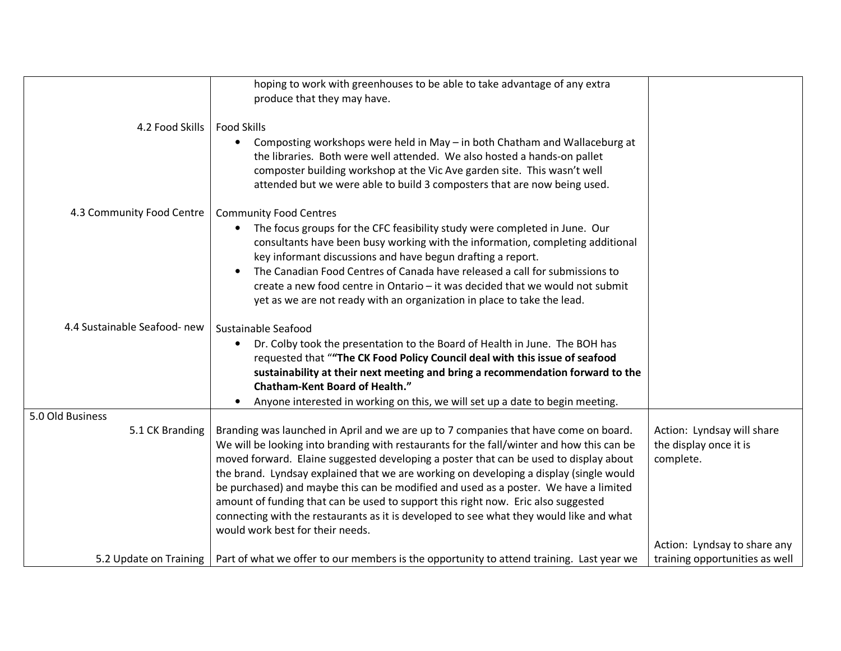| 4.2 Food Skills                     | hoping to work with greenhouses to be able to take advantage of any extra<br>produce that they may have.<br><b>Food Skills</b><br>Composting workshops were held in May - in both Chatham and Wallaceburg at<br>$\bullet$<br>the libraries. Both were well attended. We also hosted a hands-on pallet<br>composter building workshop at the Vic Ave garden site. This wasn't well<br>attended but we were able to build 3 composters that are now being used.                                                                                                                                                                                                                    |                                                                                                   |
|-------------------------------------|----------------------------------------------------------------------------------------------------------------------------------------------------------------------------------------------------------------------------------------------------------------------------------------------------------------------------------------------------------------------------------------------------------------------------------------------------------------------------------------------------------------------------------------------------------------------------------------------------------------------------------------------------------------------------------|---------------------------------------------------------------------------------------------------|
| 4.3 Community Food Centre           | <b>Community Food Centres</b><br>The focus groups for the CFC feasibility study were completed in June. Our<br>$\bullet$<br>consultants have been busy working with the information, completing additional<br>key informant discussions and have begun drafting a report.<br>The Canadian Food Centres of Canada have released a call for submissions to<br>$\bullet$<br>create a new food centre in Ontario - it was decided that we would not submit<br>yet as we are not ready with an organization in place to take the lead.                                                                                                                                                |                                                                                                   |
| 4.4 Sustainable Seafood- new        | Sustainable Seafood<br>Dr. Colby took the presentation to the Board of Health in June. The BOH has<br>$\bullet$<br>requested that "The CK Food Policy Council deal with this issue of seafood<br>sustainability at their next meeting and bring a recommendation forward to the<br><b>Chatham-Kent Board of Health."</b><br>Anyone interested in working on this, we will set up a date to begin meeting.<br>$\bullet$                                                                                                                                                                                                                                                           |                                                                                                   |
| 5.0 Old Business<br>5.1 CK Branding | Branding was launched in April and we are up to 7 companies that have come on board.<br>We will be looking into branding with restaurants for the fall/winter and how this can be<br>moved forward. Elaine suggested developing a poster that can be used to display about<br>the brand. Lyndsay explained that we are working on developing a display (single would<br>be purchased) and maybe this can be modified and used as a poster. We have a limited<br>amount of funding that can be used to support this right now. Eric also suggested<br>connecting with the restaurants as it is developed to see what they would like and what<br>would work best for their needs. | Action: Lyndsay will share<br>the display once it is<br>complete.<br>Action: Lyndsay to share any |
|                                     | 5.2 Update on Training   Part of what we offer to our members is the opportunity to attend training. Last year we                                                                                                                                                                                                                                                                                                                                                                                                                                                                                                                                                                | training opportunities as well                                                                    |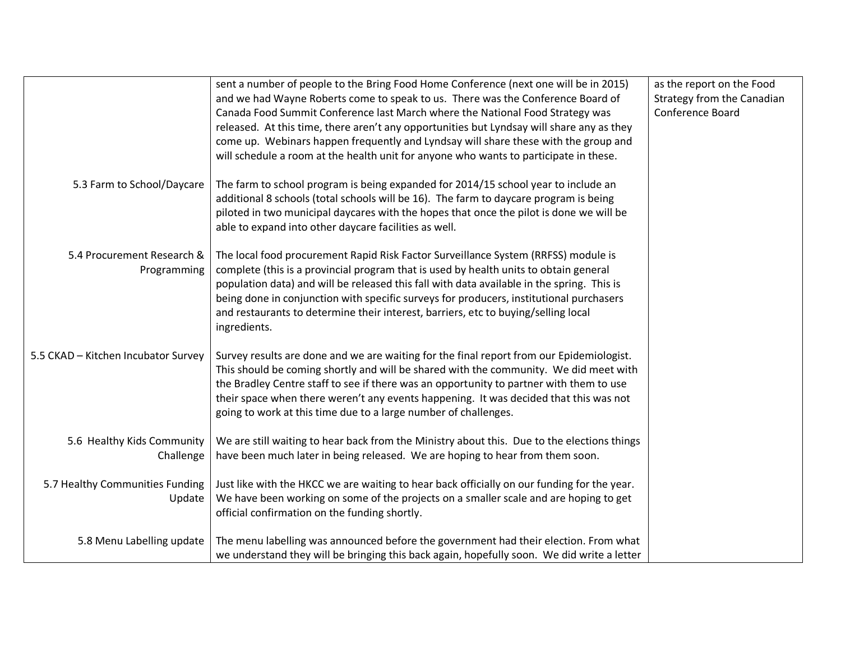|                                           | sent a number of people to the Bring Food Home Conference (next one will be in 2015)<br>and we had Wayne Roberts come to speak to us. There was the Conference Board of<br>Canada Food Summit Conference last March where the National Food Strategy was<br>released. At this time, there aren't any opportunities but Lyndsay will share any as they<br>come up. Webinars happen frequently and Lyndsay will share these with the group and<br>will schedule a room at the health unit for anyone who wants to participate in these. | as the report on the Food<br>Strategy from the Canadian<br>Conference Board |
|-------------------------------------------|---------------------------------------------------------------------------------------------------------------------------------------------------------------------------------------------------------------------------------------------------------------------------------------------------------------------------------------------------------------------------------------------------------------------------------------------------------------------------------------------------------------------------------------|-----------------------------------------------------------------------------|
| 5.3 Farm to School/Daycare                | The farm to school program is being expanded for 2014/15 school year to include an<br>additional 8 schools (total schools will be 16). The farm to daycare program is being<br>piloted in two municipal daycares with the hopes that once the pilot is done we will be<br>able to expand into other daycare facilities as well.                                                                                                                                                                                                       |                                                                             |
| 5.4 Procurement Research &<br>Programming | The local food procurement Rapid Risk Factor Surveillance System (RRFSS) module is<br>complete (this is a provincial program that is used by health units to obtain general<br>population data) and will be released this fall with data available in the spring. This is<br>being done in conjunction with specific surveys for producers, institutional purchasers<br>and restaurants to determine their interest, barriers, etc to buying/selling local<br>ingredients.                                                            |                                                                             |
| 5.5 CKAD - Kitchen Incubator Survey       | Survey results are done and we are waiting for the final report from our Epidemiologist.<br>This should be coming shortly and will be shared with the community. We did meet with<br>the Bradley Centre staff to see if there was an opportunity to partner with them to use<br>their space when there weren't any events happening. It was decided that this was not<br>going to work at this time due to a large number of challenges.                                                                                              |                                                                             |
| 5.6 Healthy Kids Community<br>Challenge   | We are still waiting to hear back from the Ministry about this. Due to the elections things<br>have been much later in being released. We are hoping to hear from them soon.                                                                                                                                                                                                                                                                                                                                                          |                                                                             |
| 5.7 Healthy Communities Funding<br>Update | Just like with the HKCC we are waiting to hear back officially on our funding for the year.<br>We have been working on some of the projects on a smaller scale and are hoping to get<br>official confirmation on the funding shortly.                                                                                                                                                                                                                                                                                                 |                                                                             |
| 5.8 Menu Labelling update                 | The menu labelling was announced before the government had their election. From what<br>we understand they will be bringing this back again, hopefully soon. We did write a letter                                                                                                                                                                                                                                                                                                                                                    |                                                                             |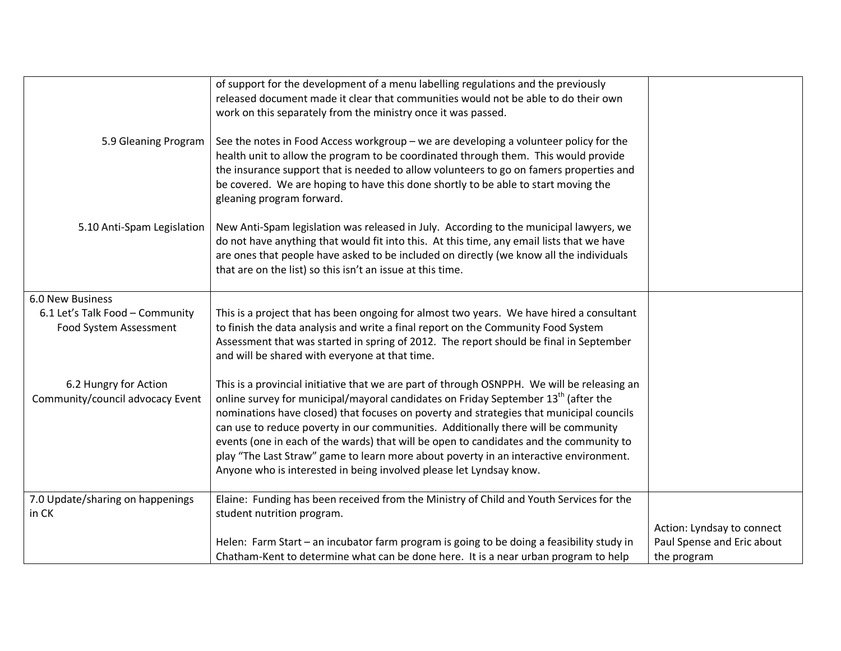|                                                           | of support for the development of a menu labelling regulations and the previously<br>released document made it clear that communities would not be able to do their own                                                                                                                                                                                                                                                                                                                                                                                                                                                                  |                            |
|-----------------------------------------------------------|------------------------------------------------------------------------------------------------------------------------------------------------------------------------------------------------------------------------------------------------------------------------------------------------------------------------------------------------------------------------------------------------------------------------------------------------------------------------------------------------------------------------------------------------------------------------------------------------------------------------------------------|----------------------------|
|                                                           | work on this separately from the ministry once it was passed.                                                                                                                                                                                                                                                                                                                                                                                                                                                                                                                                                                            |                            |
| 5.9 Gleaning Program                                      | See the notes in Food Access workgroup - we are developing a volunteer policy for the<br>health unit to allow the program to be coordinated through them. This would provide<br>the insurance support that is needed to allow volunteers to go on famers properties and<br>be covered. We are hoping to have this done shortly to be able to start moving the<br>gleaning program forward.                                                                                                                                                                                                                                               |                            |
| 5.10 Anti-Spam Legislation                                | New Anti-Spam legislation was released in July. According to the municipal lawyers, we<br>do not have anything that would fit into this. At this time, any email lists that we have<br>are ones that people have asked to be included on directly (we know all the individuals<br>that are on the list) so this isn't an issue at this time.                                                                                                                                                                                                                                                                                             |                            |
| 6.0 New Business                                          |                                                                                                                                                                                                                                                                                                                                                                                                                                                                                                                                                                                                                                          |                            |
| 6.1 Let's Talk Food - Community<br>Food System Assessment | This is a project that has been ongoing for almost two years. We have hired a consultant<br>to finish the data analysis and write a final report on the Community Food System<br>Assessment that was started in spring of 2012. The report should be final in September<br>and will be shared with everyone at that time.                                                                                                                                                                                                                                                                                                                |                            |
| 6.2 Hungry for Action<br>Community/council advocacy Event | This is a provincial initiative that we are part of through OSNPPH. We will be releasing an<br>online survey for municipal/mayoral candidates on Friday September 13 <sup>th</sup> (after the<br>nominations have closed) that focuses on poverty and strategies that municipal councils<br>can use to reduce poverty in our communities. Additionally there will be community<br>events (one in each of the wards) that will be open to candidates and the community to<br>play "The Last Straw" game to learn more about poverty in an interactive environment.<br>Anyone who is interested in being involved please let Lyndsay know. |                            |
| 7.0 Update/sharing on happenings                          | Elaine: Funding has been received from the Ministry of Child and Youth Services for the                                                                                                                                                                                                                                                                                                                                                                                                                                                                                                                                                  |                            |
| in CK                                                     | student nutrition program.                                                                                                                                                                                                                                                                                                                                                                                                                                                                                                                                                                                                               | Action: Lyndsay to connect |
|                                                           | Helen: Farm Start - an incubator farm program is going to be doing a feasibility study in                                                                                                                                                                                                                                                                                                                                                                                                                                                                                                                                                | Paul Spense and Eric about |
|                                                           | Chatham-Kent to determine what can be done here. It is a near urban program to help                                                                                                                                                                                                                                                                                                                                                                                                                                                                                                                                                      | the program                |